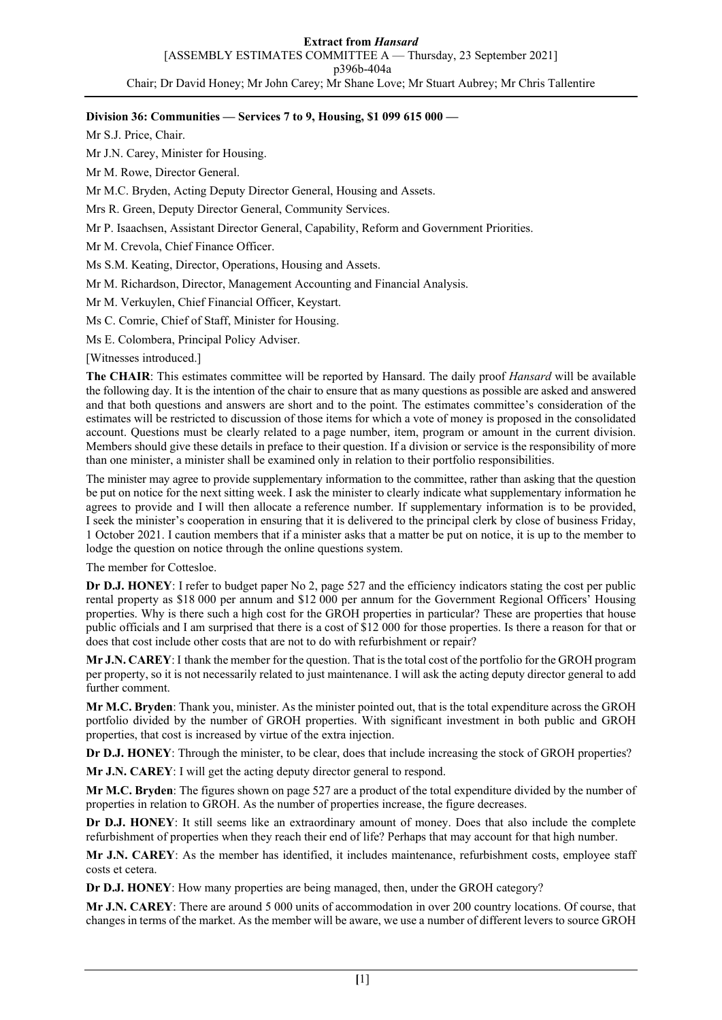# **Division 36: Communities — Services 7 to 9, Housing, \$1 099 615 000 —**

Mr S.J. Price, Chair.

Mr J.N. Carey, Minister for Housing.

Mr M. Rowe, Director General.

Mr M.C. Bryden, Acting Deputy Director General, Housing and Assets.

Mrs R. Green, Deputy Director General, Community Services.

Mr P. Isaachsen, Assistant Director General, Capability, Reform and Government Priorities.

Mr M. Crevola, Chief Finance Officer.

Ms S.M. Keating, Director, Operations, Housing and Assets.

Mr M. Richardson, Director, Management Accounting and Financial Analysis.

Mr M. Verkuylen, Chief Financial Officer, Keystart.

Ms C. Comrie, Chief of Staff, Minister for Housing.

Ms E. Colombera, Principal Policy Adviser.

## [Witnesses introduced.]

**The CHAIR**: This estimates committee will be reported by Hansard. The daily proof *Hansard* will be available the following day. It is the intention of the chair to ensure that as many questions as possible are asked and answered and that both questions and answers are short and to the point. The estimates committee's consideration of the estimates will be restricted to discussion of those items for which a vote of money is proposed in the consolidated account. Questions must be clearly related to a page number, item, program or amount in the current division. Members should give these details in preface to their question. If a division or service is the responsibility of more than one minister, a minister shall be examined only in relation to their portfolio responsibilities.

The minister may agree to provide supplementary information to the committee, rather than asking that the question be put on notice for the next sitting week. I ask the minister to clearly indicate what supplementary information he agrees to provide and I will then allocate a reference number. If supplementary information is to be provided, I seek the minister's cooperation in ensuring that it is delivered to the principal clerk by close of business Friday, 1 October 2021. I caution members that if a minister asks that a matter be put on notice, it is up to the member to lodge the question on notice through the online questions system.

The member for Cottesloe.

**Dr D.J. HONEY**: I refer to budget paper No 2, page 527 and the efficiency indicators stating the cost per public rental property as \$18 000 per annum and \$12 000 per annum for the Government Regional Officers' Housing properties. Why is there such a high cost for the GROH properties in particular? These are properties that house public officials and I am surprised that there is a cost of \$12 000 for those properties. Is there a reason for that or does that cost include other costs that are not to do with refurbishment or repair?

**Mr J.N. CAREY**: I thank the member for the question. That is the total cost of the portfolio for the GROH program per property, so it is not necessarily related to just maintenance. I will ask the acting deputy director general to add further comment.

**Mr M.C. Bryden**: Thank you, minister. As the minister pointed out, that is the total expenditure across the GROH portfolio divided by the number of GROH properties. With significant investment in both public and GROH properties, that cost is increased by virtue of the extra injection.

**Dr D.J. HONEY**: Through the minister, to be clear, does that include increasing the stock of GROH properties?

**Mr J.N. CAREY**: I will get the acting deputy director general to respond.

**Mr M.C. Bryden**: The figures shown on page 527 are a product of the total expenditure divided by the number of properties in relation to GROH. As the number of properties increase, the figure decreases.

**Dr D.J. HONEY**: It still seems like an extraordinary amount of money. Does that also include the complete refurbishment of properties when they reach their end of life? Perhaps that may account for that high number.

**Mr J.N. CAREY**: As the member has identified, it includes maintenance, refurbishment costs, employee staff costs et cetera.

**Dr D.J. HONEY**: How many properties are being managed, then, under the GROH category?

**Mr J.N. CAREY**: There are around 5 000 units of accommodation in over 200 country locations. Of course, that changes in terms of the market. As the member will be aware, we use a number of different levers to source GROH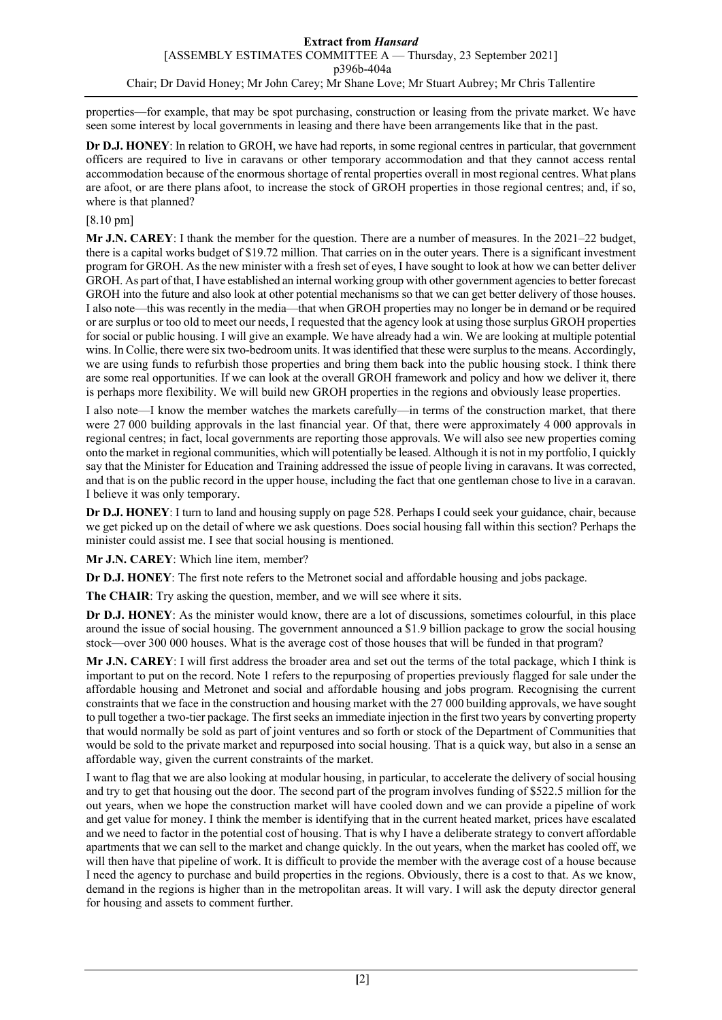properties—for example, that may be spot purchasing, construction or leasing from the private market. We have seen some interest by local governments in leasing and there have been arrangements like that in the past.

**Dr D.J. HONEY**: In relation to GROH, we have had reports, in some regional centres in particular, that government officers are required to live in caravans or other temporary accommodation and that they cannot access rental accommodation because of the enormous shortage of rental properties overall in most regional centres. What plans are afoot, or are there plans afoot, to increase the stock of GROH properties in those regional centres; and, if so, where is that planned?

# [8.10 pm]

**Mr J.N. CAREY**: I thank the member for the question. There are a number of measures. In the 2021–22 budget, there is a capital works budget of \$19.72 million. That carries on in the outer years. There is a significant investment program for GROH. As the new minister with a fresh set of eyes, I have sought to look at how we can better deliver GROH. As part of that, I have established an internal working group with other government agencies to better forecast GROH into the future and also look at other potential mechanisms so that we can get better delivery of those houses. I also note—this was recently in the media—that when GROH properties may no longer be in demand or be required or are surplus or too old to meet our needs, I requested that the agency look at using those surplus GROH properties for social or public housing. I will give an example. We have already had a win. We are looking at multiple potential wins. In Collie, there were six two-bedroom units. It was identified that these were surplus to the means. Accordingly, we are using funds to refurbish those properties and bring them back into the public housing stock. I think there are some real opportunities. If we can look at the overall GROH framework and policy and how we deliver it, there is perhaps more flexibility. We will build new GROH properties in the regions and obviously lease properties.

I also note—I know the member watches the markets carefully—in terms of the construction market, that there were 27 000 building approvals in the last financial year. Of that, there were approximately 4 000 approvals in regional centres; in fact, local governments are reporting those approvals. We will also see new properties coming onto the market in regional communities, which will potentially be leased. Although it is not in my portfolio, I quickly say that the Minister for Education and Training addressed the issue of people living in caravans. It was corrected, and that is on the public record in the upper house, including the fact that one gentleman chose to live in a caravan. I believe it was only temporary.

**Dr D.J. HONEY**: I turn to land and housing supply on page 528. Perhaps I could seek your guidance, chair, because we get picked up on the detail of where we ask questions. Does social housing fall within this section? Perhaps the minister could assist me. I see that social housing is mentioned.

**Mr J.N. CAREY**: Which line item, member?

**Dr D.J. HONEY**: The first note refers to the Metronet social and affordable housing and jobs package.

**The CHAIR**: Try asking the question, member, and we will see where it sits.

**Dr D.J. HONEY**: As the minister would know, there are a lot of discussions, sometimes colourful, in this place around the issue of social housing. The government announced a \$1.9 billion package to grow the social housing stock—over 300 000 houses. What is the average cost of those houses that will be funded in that program?

**Mr J.N. CAREY**: I will first address the broader area and set out the terms of the total package, which I think is important to put on the record. Note 1 refers to the repurposing of properties previously flagged for sale under the affordable housing and Metronet and social and affordable housing and jobs program. Recognising the current constraints that we face in the construction and housing market with the 27 000 building approvals, we have sought to pull together a two-tier package. The first seeks an immediate injection in the first two years by converting property that would normally be sold as part of joint ventures and so forth or stock of the Department of Communities that would be sold to the private market and repurposed into social housing. That is a quick way, but also in a sense an affordable way, given the current constraints of the market.

I want to flag that we are also looking at modular housing, in particular, to accelerate the delivery of social housing and try to get that housing out the door. The second part of the program involves funding of \$522.5 million for the out years, when we hope the construction market will have cooled down and we can provide a pipeline of work and get value for money. I think the member is identifying that in the current heated market, prices have escalated and we need to factor in the potential cost of housing. That is why I have a deliberate strategy to convert affordable apartments that we can sell to the market and change quickly. In the out years, when the market has cooled off, we will then have that pipeline of work. It is difficult to provide the member with the average cost of a house because I need the agency to purchase and build properties in the regions. Obviously, there is a cost to that. As we know, demand in the regions is higher than in the metropolitan areas. It will vary. I will ask the deputy director general for housing and assets to comment further.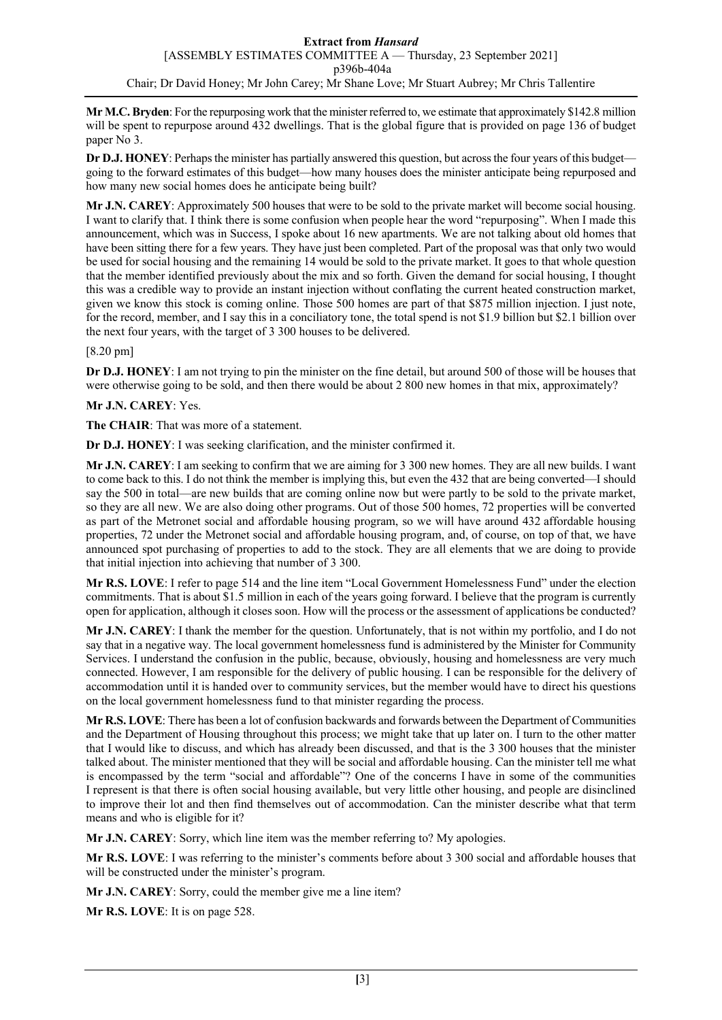**Mr M.C. Bryden**: For the repurposing work that the minister referred to, we estimate that approximately \$142.8 million will be spent to repurpose around 432 dwellings. That is the global figure that is provided on page 136 of budget paper No 3.

**Dr D.J. HONEY**: Perhaps the minister has partially answered this question, but across the four years of this budget going to the forward estimates of this budget—how many houses does the minister anticipate being repurposed and how many new social homes does he anticipate being built?

**Mr J.N. CAREY**: Approximately 500 houses that were to be sold to the private market will become social housing. I want to clarify that. I think there is some confusion when people hear the word "repurposing". When I made this announcement, which was in Success, I spoke about 16 new apartments. We are not talking about old homes that have been sitting there for a few years. They have just been completed. Part of the proposal was that only two would be used for social housing and the remaining 14 would be sold to the private market. It goes to that whole question that the member identified previously about the mix and so forth. Given the demand for social housing, I thought this was a credible way to provide an instant injection without conflating the current heated construction market, given we know this stock is coming online. Those 500 homes are part of that \$875 million injection. I just note, for the record, member, and I say this in a conciliatory tone, the total spend is not \$1.9 billion but \$2.1 billion over the next four years, with the target of 3 300 houses to be delivered.

## [8.20 pm]

**Dr D.J. HONEY**: I am not trying to pin the minister on the fine detail, but around 500 of those will be houses that were otherwise going to be sold, and then there would be about 2 800 new homes in that mix, approximately?

## **Mr J.N. CAREY**: Yes.

**The CHAIR**: That was more of a statement.

**Dr D.J. HONEY**: I was seeking clarification, and the minister confirmed it.

**Mr J.N. CAREY**: I am seeking to confirm that we are aiming for 3 300 new homes. They are all new builds. I want to come back to this. I do not think the member is implying this, but even the 432 that are being converted—I should say the 500 in total—are new builds that are coming online now but were partly to be sold to the private market, so they are all new. We are also doing other programs. Out of those 500 homes, 72 properties will be converted as part of the Metronet social and affordable housing program, so we will have around 432 affordable housing properties, 72 under the Metronet social and affordable housing program, and, of course, on top of that, we have announced spot purchasing of properties to add to the stock. They are all elements that we are doing to provide that initial injection into achieving that number of 3 300.

**Mr R.S. LOVE**: I refer to page 514 and the line item "Local Government Homelessness Fund" under the election commitments. That is about \$1.5 million in each of the years going forward. I believe that the program is currently open for application, although it closes soon. How will the process or the assessment of applications be conducted?

**Mr J.N. CAREY**: I thank the member for the question. Unfortunately, that is not within my portfolio, and I do not say that in a negative way. The local government homelessness fund is administered by the Minister for Community Services. I understand the confusion in the public, because, obviously, housing and homelessness are very much connected. However, I am responsible for the delivery of public housing. I can be responsible for the delivery of accommodation until it is handed over to community services, but the member would have to direct his questions on the local government homelessness fund to that minister regarding the process.

**Mr R.S. LOVE**: There has been a lot of confusion backwards and forwards between the Department of Communities and the Department of Housing throughout this process; we might take that up later on. I turn to the other matter that I would like to discuss, and which has already been discussed, and that is the 3 300 houses that the minister talked about. The minister mentioned that they will be social and affordable housing. Can the minister tell me what is encompassed by the term "social and affordable"? One of the concerns I have in some of the communities I represent is that there is often social housing available, but very little other housing, and people are disinclined to improve their lot and then find themselves out of accommodation. Can the minister describe what that term means and who is eligible for it?

**Mr J.N. CAREY**: Sorry, which line item was the member referring to? My apologies.

**Mr R.S. LOVE**: I was referring to the minister's comments before about 3 300 social and affordable houses that will be constructed under the minister's program.

**Mr J.N. CAREY**: Sorry, could the member give me a line item?

**Mr R.S. LOVE**: It is on page 528.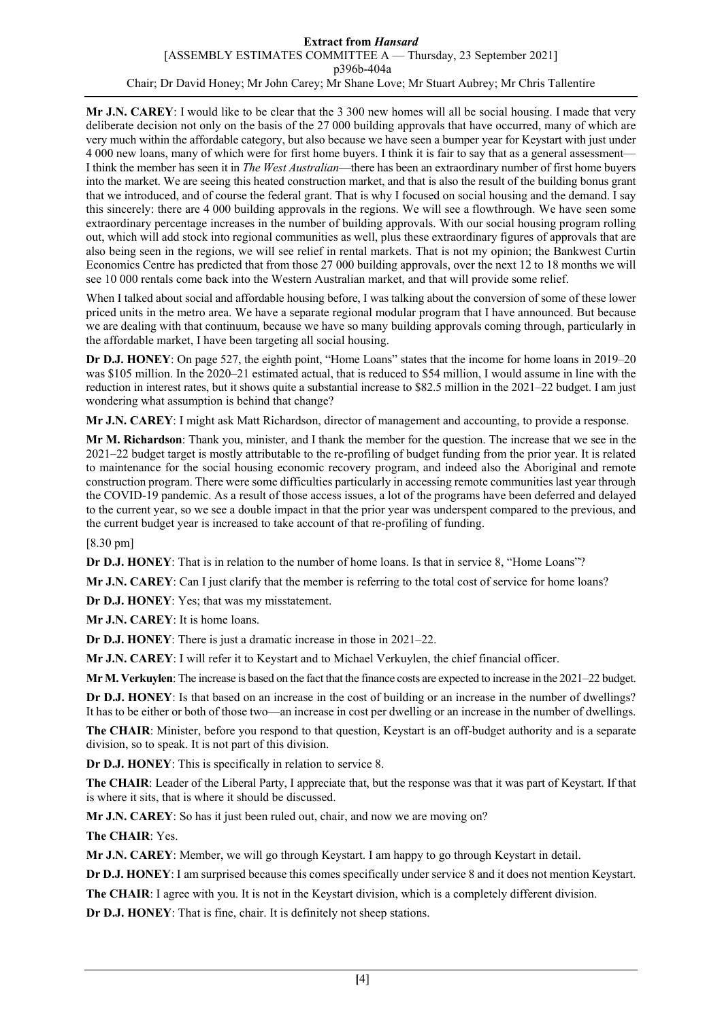**Mr J.N. CAREY**: I would like to be clear that the 3 300 new homes will all be social housing. I made that very deliberate decision not only on the basis of the 27 000 building approvals that have occurred, many of which are very much within the affordable category, but also because we have seen a bumper year for Keystart with just under 4 000 new loans, many of which were for first home buyers. I think it is fair to say that as a general assessment— I think the member has seen it in *The West Australian*—there has been an extraordinary number of first home buyers into the market. We are seeing this heated construction market, and that is also the result of the building bonus grant that we introduced, and of course the federal grant. That is why I focused on social housing and the demand. I say this sincerely: there are 4 000 building approvals in the regions. We will see a flowthrough. We have seen some extraordinary percentage increases in the number of building approvals. With our social housing program rolling out, which will add stock into regional communities as well, plus these extraordinary figures of approvals that are also being seen in the regions, we will see relief in rental markets. That is not my opinion; the Bankwest Curtin Economics Centre has predicted that from those 27 000 building approvals, over the next 12 to 18 months we will see 10 000 rentals come back into the Western Australian market, and that will provide some relief.

When I talked about social and affordable housing before, I was talking about the conversion of some of these lower priced units in the metro area. We have a separate regional modular program that I have announced. But because we are dealing with that continuum, because we have so many building approvals coming through, particularly in the affordable market, I have been targeting all social housing.

**Dr D.J. HONEY**: On page 527, the eighth point, "Home Loans" states that the income for home loans in 2019–20 was \$105 million. In the 2020–21 estimated actual, that is reduced to \$54 million, I would assume in line with the reduction in interest rates, but it shows quite a substantial increase to \$82.5 million in the 2021–22 budget. I am just wondering what assumption is behind that change?

**Mr J.N. CAREY**: I might ask Matt Richardson, director of management and accounting, to provide a response.

**Mr M. Richardson**: Thank you, minister, and I thank the member for the question. The increase that we see in the 2021–22 budget target is mostly attributable to the re-profiling of budget funding from the prior year. It is related to maintenance for the social housing economic recovery program, and indeed also the Aboriginal and remote construction program. There were some difficulties particularly in accessing remote communities last year through the COVID-19 pandemic. As a result of those access issues, a lot of the programs have been deferred and delayed to the current year, so we see a double impact in that the prior year was underspent compared to the previous, and the current budget year is increased to take account of that re-profiling of funding.

[8.30 pm]

**Dr D.J. HONEY**: That is in relation to the number of home loans. Is that in service 8, "Home Loans"?

**Mr J.N. CAREY**: Can I just clarify that the member is referring to the total cost of service for home loans?

**Dr D.J. HONEY**: Yes; that was my misstatement.

**Mr J.N. CAREY**: It is home loans.

**Dr D.J. HONEY**: There is just a dramatic increase in those in 2021–22.

**Mr J.N. CAREY**: I will refer it to Keystart and to Michael Verkuylen, the chief financial officer.

**Mr M. Verkuylen**: The increase is based on the fact that the finance costs are expected to increase in the 2021–22 budget.

**Dr D.J. HONEY**: Is that based on an increase in the cost of building or an increase in the number of dwellings? It has to be either or both of those two—an increase in cost per dwelling or an increase in the number of dwellings.

**The CHAIR**: Minister, before you respond to that question, Keystart is an off-budget authority and is a separate division, so to speak. It is not part of this division.

**Dr D.J. HONEY**: This is specifically in relation to service 8.

**The CHAIR**: Leader of the Liberal Party, I appreciate that, but the response was that it was part of Keystart. If that is where it sits, that is where it should be discussed.

**Mr J.N. CAREY**: So has it just been ruled out, chair, and now we are moving on?

**The CHAIR**: Yes.

**Mr J.N. CAREY**: Member, we will go through Keystart. I am happy to go through Keystart in detail.

**Dr D.J. HONEY**: I am surprised because this comes specifically under service 8 and it does not mention Keystart.

**The CHAIR**: I agree with you. It is not in the Keystart division, which is a completely different division.

**Dr D.J. HONEY**: That is fine, chair. It is definitely not sheep stations.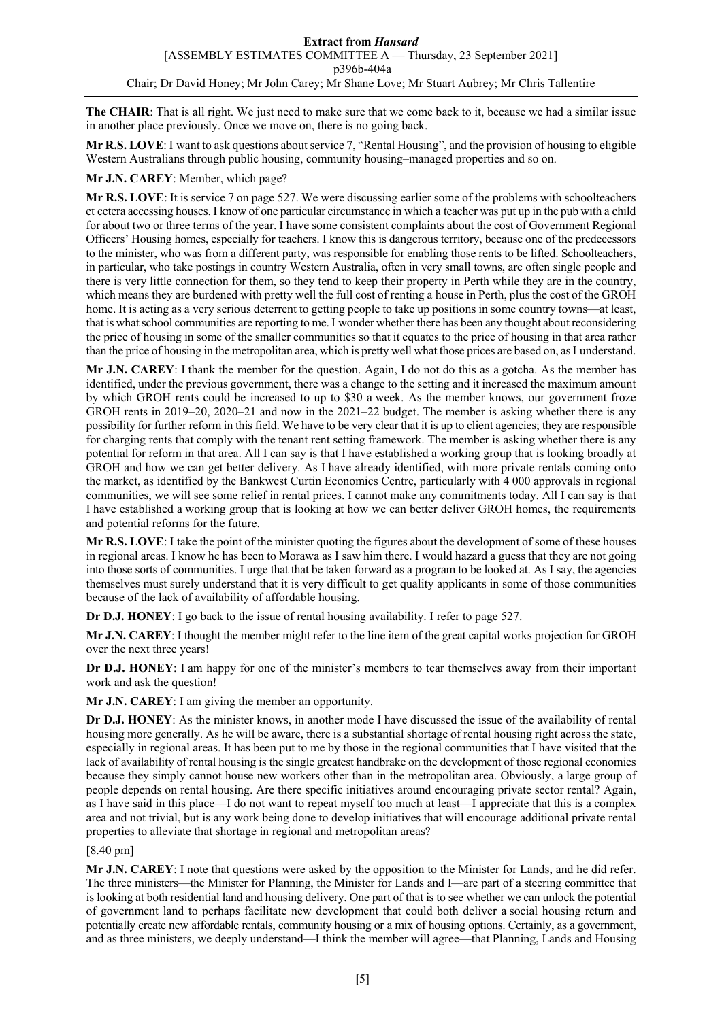**The CHAIR**: That is all right. We just need to make sure that we come back to it, because we had a similar issue in another place previously. Once we move on, there is no going back.

**Mr R.S. LOVE**: I want to ask questions about service 7, "Rental Housing", and the provision of housing to eligible Western Australians through public housing, community housing–managed properties and so on.

#### **Mr J.N. CAREY**: Member, which page?

**Mr R.S. LOVE**: It is service 7 on page 527. We were discussing earlier some of the problems with schoolteachers et cetera accessing houses. I know of one particular circumstance in which a teacher was put up in the pub with a child for about two or three terms of the year. I have some consistent complaints about the cost of Government Regional Officers' Housing homes, especially for teachers. I know this is dangerous territory, because one of the predecessors to the minister, who was from a different party, was responsible for enabling those rents to be lifted. Schoolteachers, in particular, who take postings in country Western Australia, often in very small towns, are often single people and there is very little connection for them, so they tend to keep their property in Perth while they are in the country, which means they are burdened with pretty well the full cost of renting a house in Perth, plus the cost of the GROH home. It is acting as a very serious deterrent to getting people to take up positions in some country towns—at least, that is what school communities are reporting to me. I wonder whether there has been any thought about reconsidering the price of housing in some of the smaller communities so that it equates to the price of housing in that area rather than the price of housing in the metropolitan area, which is pretty well what those prices are based on, as I understand.

**Mr J.N. CAREY**: I thank the member for the question. Again, I do not do this as a gotcha. As the member has identified, under the previous government, there was a change to the setting and it increased the maximum amount by which GROH rents could be increased to up to \$30 a week. As the member knows, our government froze GROH rents in 2019–20, 2020–21 and now in the 2021–22 budget. The member is asking whether there is any possibility for further reform in this field. We have to be very clear that it is up to client agencies; they are responsible for charging rents that comply with the tenant rent setting framework. The member is asking whether there is any potential for reform in that area. All I can say is that I have established a working group that is looking broadly at GROH and how we can get better delivery. As I have already identified, with more private rentals coming onto the market, as identified by the Bankwest Curtin Economics Centre, particularly with 4 000 approvals in regional communities, we will see some relief in rental prices. I cannot make any commitments today. All I can say is that I have established a working group that is looking at how we can better deliver GROH homes, the requirements and potential reforms for the future.

**Mr R.S. LOVE**: I take the point of the minister quoting the figures about the development of some of these houses in regional areas. I know he has been to Morawa as I saw him there. I would hazard a guess that they are not going into those sorts of communities. I urge that that be taken forward as a program to be looked at. As I say, the agencies themselves must surely understand that it is very difficult to get quality applicants in some of those communities because of the lack of availability of affordable housing.

**Dr D.J. HONEY**: I go back to the issue of rental housing availability. I refer to page 527.

**Mr J.N. CAREY**: I thought the member might refer to the line item of the great capital works projection for GROH over the next three years!

**Dr D.J. HONEY**: I am happy for one of the minister's members to tear themselves away from their important work and ask the question!

**Mr J.N. CAREY**: I am giving the member an opportunity.

**Dr D.J. HONEY**: As the minister knows, in another mode I have discussed the issue of the availability of rental housing more generally. As he will be aware, there is a substantial shortage of rental housing right across the state, especially in regional areas. It has been put to me by those in the regional communities that I have visited that the lack of availability of rental housing is the single greatest handbrake on the development of those regional economies because they simply cannot house new workers other than in the metropolitan area. Obviously, a large group of people depends on rental housing. Are there specific initiatives around encouraging private sector rental? Again, as I have said in this place—I do not want to repeat myself too much at least—I appreciate that this is a complex area and not trivial, but is any work being done to develop initiatives that will encourage additional private rental properties to alleviate that shortage in regional and metropolitan areas?

#### [8.40 pm]

**Mr J.N. CAREY**: I note that questions were asked by the opposition to the Minister for Lands, and he did refer. The three ministers—the Minister for Planning, the Minister for Lands and I—are part of a steering committee that is looking at both residential land and housing delivery. One part of that is to see whether we can unlock the potential of government land to perhaps facilitate new development that could both deliver a social housing return and potentially create new affordable rentals, community housing or a mix of housing options. Certainly, as a government, and as three ministers, we deeply understand—I think the member will agree—that Planning, Lands and Housing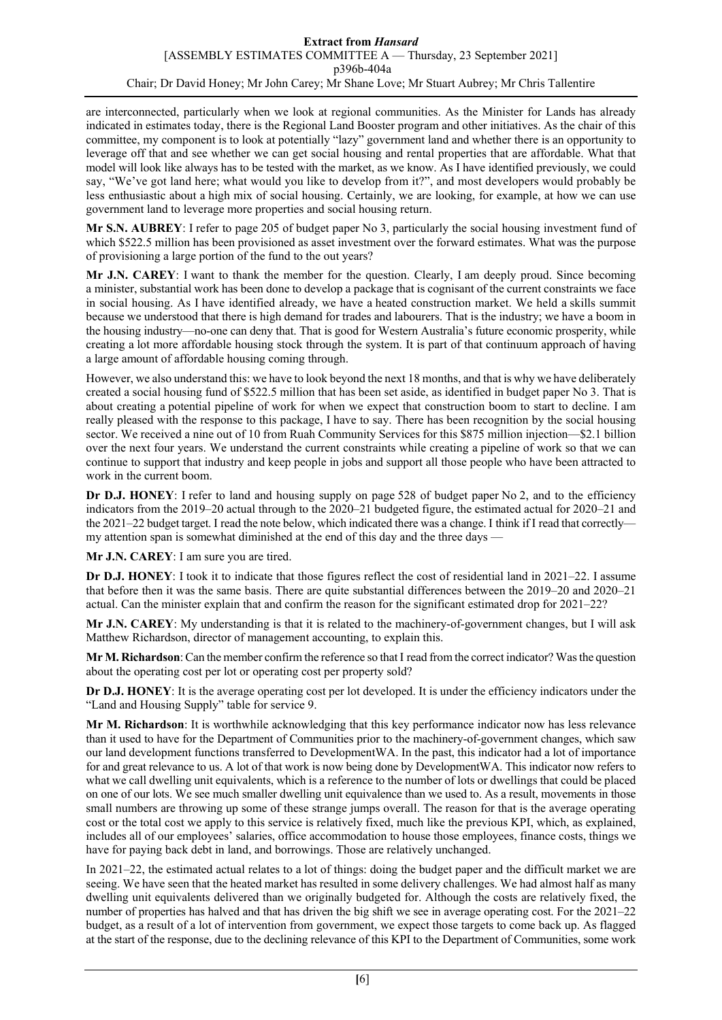are interconnected, particularly when we look at regional communities. As the Minister for Lands has already indicated in estimates today, there is the Regional Land Booster program and other initiatives. As the chair of this committee, my component is to look at potentially "lazy" government land and whether there is an opportunity to leverage off that and see whether we can get social housing and rental properties that are affordable. What that model will look like always has to be tested with the market, as we know. As I have identified previously, we could say, "We've got land here; what would you like to develop from it?", and most developers would probably be less enthusiastic about a high mix of social housing. Certainly, we are looking, for example, at how we can use government land to leverage more properties and social housing return.

**Mr S.N. AUBREY**: I refer to page 205 of budget paper No 3, particularly the social housing investment fund of which \$522.5 million has been provisioned as asset investment over the forward estimates. What was the purpose of provisioning a large portion of the fund to the out years?

**Mr J.N. CAREY**: I want to thank the member for the question. Clearly, I am deeply proud. Since becoming a minister, substantial work has been done to develop a package that is cognisant of the current constraints we face in social housing. As I have identified already, we have a heated construction market. We held a skills summit because we understood that there is high demand for trades and labourers. That is the industry; we have a boom in the housing industry—no-one can deny that. That is good for Western Australia's future economic prosperity, while creating a lot more affordable housing stock through the system. It is part of that continuum approach of having a large amount of affordable housing coming through.

However, we also understand this: we have to look beyond the next 18 months, and that is why we have deliberately created a social housing fund of \$522.5 million that has been set aside, as identified in budget paper No 3. That is about creating a potential pipeline of work for when we expect that construction boom to start to decline. I am really pleased with the response to this package, I have to say. There has been recognition by the social housing sector. We received a nine out of 10 from Ruah Community Services for this \$875 million injection—\$2.1 billion over the next four years. We understand the current constraints while creating a pipeline of work so that we can continue to support that industry and keep people in jobs and support all those people who have been attracted to work in the current boom.

**Dr D.J. HONEY**: I refer to land and housing supply on page 528 of budget paper No 2, and to the efficiency indicators from the 2019–20 actual through to the 2020–21 budgeted figure, the estimated actual for 2020–21 and the 2021–22 budget target. I read the note below, which indicated there was a change. I think if I read that correctly my attention span is somewhat diminished at the end of this day and the three days —

**Mr J.N. CAREY**: I am sure you are tired.

**Dr D.J. HONEY**: I took it to indicate that those figures reflect the cost of residential land in 2021–22. I assume that before then it was the same basis. There are quite substantial differences between the 2019–20 and 2020–21 actual. Can the minister explain that and confirm the reason for the significant estimated drop for 2021–22?

**Mr J.N. CAREY**: My understanding is that it is related to the machinery-of-government changes, but I will ask Matthew Richardson, director of management accounting, to explain this.

**Mr M. Richardson**: Can the member confirm the reference so that I read from the correct indicator? Was the question about the operating cost per lot or operating cost per property sold?

**Dr D.J. HONEY**: It is the average operating cost per lot developed. It is under the efficiency indicators under the "Land and Housing Supply" table for service 9.

**Mr M. Richardson**: It is worthwhile acknowledging that this key performance indicator now has less relevance than it used to have for the Department of Communities prior to the machinery-of-government changes, which saw our land development functions transferred to DevelopmentWA. In the past, this indicator had a lot of importance for and great relevance to us. A lot of that work is now being done by DevelopmentWA. This indicator now refers to what we call dwelling unit equivalents, which is a reference to the number of lots or dwellings that could be placed on one of our lots. We see much smaller dwelling unit equivalence than we used to. As a result, movements in those small numbers are throwing up some of these strange jumps overall. The reason for that is the average operating cost or the total cost we apply to this service is relatively fixed, much like the previous KPI, which, as explained, includes all of our employees' salaries, office accommodation to house those employees, finance costs, things we have for paying back debt in land, and borrowings. Those are relatively unchanged.

In 2021–22, the estimated actual relates to a lot of things: doing the budget paper and the difficult market we are seeing. We have seen that the heated market has resulted in some delivery challenges. We had almost half as many dwelling unit equivalents delivered than we originally budgeted for. Although the costs are relatively fixed, the number of properties has halved and that has driven the big shift we see in average operating cost. For the 2021–22 budget, as a result of a lot of intervention from government, we expect those targets to come back up. As flagged at the start of the response, due to the declining relevance of this KPI to the Department of Communities, some work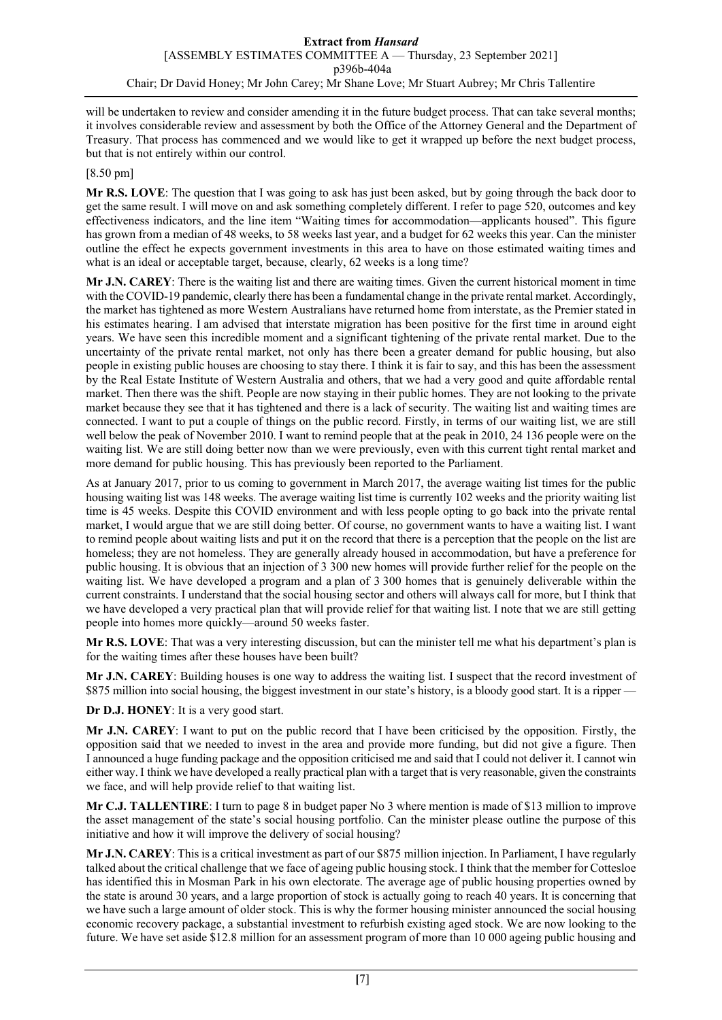will be undertaken to review and consider amending it in the future budget process. That can take several months; it involves considerable review and assessment by both the Office of the Attorney General and the Department of Treasury. That process has commenced and we would like to get it wrapped up before the next budget process, but that is not entirely within our control.

## [8.50 pm]

**Mr R.S. LOVE**: The question that I was going to ask has just been asked, but by going through the back door to get the same result. I will move on and ask something completely different. I refer to page 520, outcomes and key effectiveness indicators, and the line item "Waiting times for accommodation—applicants housed". This figure has grown from a median of 48 weeks, to 58 weeks last year, and a budget for 62 weeks this year. Can the minister outline the effect he expects government investments in this area to have on those estimated waiting times and what is an ideal or acceptable target, because, clearly, 62 weeks is a long time?

**Mr J.N. CAREY**: There is the waiting list and there are waiting times. Given the current historical moment in time with the COVID-19 pandemic, clearly there has been a fundamental change in the private rental market. Accordingly, the market has tightened as more Western Australians have returned home from interstate, as the Premier stated in his estimates hearing. I am advised that interstate migration has been positive for the first time in around eight years. We have seen this incredible moment and a significant tightening of the private rental market. Due to the uncertainty of the private rental market, not only has there been a greater demand for public housing, but also people in existing public houses are choosing to stay there. I think it is fair to say, and this has been the assessment by the Real Estate Institute of Western Australia and others, that we had a very good and quite affordable rental market. Then there was the shift. People are now staying in their public homes. They are not looking to the private market because they see that it has tightened and there is a lack of security. The waiting list and waiting times are connected. I want to put a couple of things on the public record. Firstly, in terms of our waiting list, we are still well below the peak of November 2010. I want to remind people that at the peak in 2010, 24 136 people were on the waiting list. We are still doing better now than we were previously, even with this current tight rental market and more demand for public housing. This has previously been reported to the Parliament.

As at January 2017, prior to us coming to government in March 2017, the average waiting list times for the public housing waiting list was 148 weeks. The average waiting list time is currently 102 weeks and the priority waiting list time is 45 weeks. Despite this COVID environment and with less people opting to go back into the private rental market, I would argue that we are still doing better. Of course, no government wants to have a waiting list. I want to remind people about waiting lists and put it on the record that there is a perception that the people on the list are homeless; they are not homeless. They are generally already housed in accommodation, but have a preference for public housing. It is obvious that an injection of 3 300 new homes will provide further relief for the people on the waiting list. We have developed a program and a plan of 3 300 homes that is genuinely deliverable within the current constraints. I understand that the social housing sector and others will always call for more, but I think that we have developed a very practical plan that will provide relief for that waiting list. I note that we are still getting people into homes more quickly—around 50 weeks faster.

**Mr R.S. LOVE**: That was a very interesting discussion, but can the minister tell me what his department's plan is for the waiting times after these houses have been built?

**Mr J.N. CAREY**: Building houses is one way to address the waiting list. I suspect that the record investment of \$875 million into social housing, the biggest investment in our state's history, is a bloody good start. It is a ripper -

**Dr D.J. HONEY**: It is a very good start.

**Mr J.N. CAREY**: I want to put on the public record that I have been criticised by the opposition. Firstly, the opposition said that we needed to invest in the area and provide more funding, but did not give a figure. Then I announced a huge funding package and the opposition criticised me and said that I could not deliver it. I cannot win either way. I think we have developed a really practical plan with a target that is very reasonable, given the constraints we face, and will help provide relief to that waiting list.

**Mr C.J. TALLENTIRE**: I turn to page 8 in budget paper No 3 where mention is made of \$13 million to improve the asset management of the state's social housing portfolio. Can the minister please outline the purpose of this initiative and how it will improve the delivery of social housing?

**Mr J.N. CAREY**: This is a critical investment as part of our \$875 million injection. In Parliament, I have regularly talked about the critical challenge that we face of ageing public housing stock. I think that the member for Cottesloe has identified this in Mosman Park in his own electorate. The average age of public housing properties owned by the state is around 30 years, and a large proportion of stock is actually going to reach 40 years. It is concerning that we have such a large amount of older stock. This is why the former housing minister announced the social housing economic recovery package, a substantial investment to refurbish existing aged stock. We are now looking to the future. We have set aside \$12.8 million for an assessment program of more than 10 000 ageing public housing and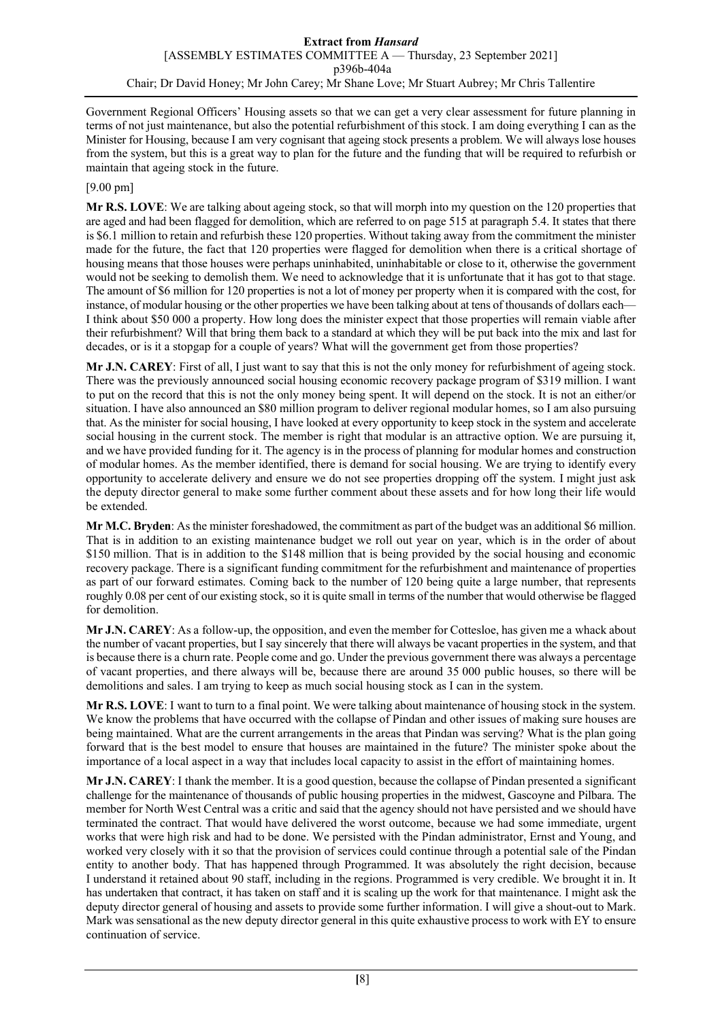Government Regional Officers' Housing assets so that we can get a very clear assessment for future planning in terms of not just maintenance, but also the potential refurbishment of this stock. I am doing everything I can as the Minister for Housing, because I am very cognisant that ageing stock presents a problem. We will always lose houses from the system, but this is a great way to plan for the future and the funding that will be required to refurbish or maintain that ageing stock in the future.

## [9.00 pm]

**Mr R.S. LOVE**: We are talking about ageing stock, so that will morph into my question on the 120 properties that are aged and had been flagged for demolition, which are referred to on page 515 at paragraph 5.4. It states that there is \$6.1 million to retain and refurbish these 120 properties. Without taking away from the commitment the minister made for the future, the fact that 120 properties were flagged for demolition when there is a critical shortage of housing means that those houses were perhaps uninhabited, uninhabitable or close to it, otherwise the government would not be seeking to demolish them. We need to acknowledge that it is unfortunate that it has got to that stage. The amount of \$6 million for 120 properties is not a lot of money per property when it is compared with the cost, for instance, of modular housing or the other properties we have been talking about at tens of thousands of dollars each— I think about \$50 000 a property. How long does the minister expect that those properties will remain viable after their refurbishment? Will that bring them back to a standard at which they will be put back into the mix and last for decades, or is it a stopgap for a couple of years? What will the government get from those properties?

**Mr J.N. CAREY**: First of all, I just want to say that this is not the only money for refurbishment of ageing stock. There was the previously announced social housing economic recovery package program of \$319 million. I want to put on the record that this is not the only money being spent. It will depend on the stock. It is not an either/or situation. I have also announced an \$80 million program to deliver regional modular homes, so I am also pursuing that. As the minister for social housing, I have looked at every opportunity to keep stock in the system and accelerate social housing in the current stock. The member is right that modular is an attractive option. We are pursuing it, and we have provided funding for it. The agency is in the process of planning for modular homes and construction of modular homes. As the member identified, there is demand for social housing. We are trying to identify every opportunity to accelerate delivery and ensure we do not see properties dropping off the system. I might just ask the deputy director general to make some further comment about these assets and for how long their life would be extended.

**Mr M.C. Bryden**: As the minister foreshadowed, the commitment as part of the budget was an additional \$6 million. That is in addition to an existing maintenance budget we roll out year on year, which is in the order of about \$150 million. That is in addition to the \$148 million that is being provided by the social housing and economic recovery package. There is a significant funding commitment for the refurbishment and maintenance of properties as part of our forward estimates. Coming back to the number of 120 being quite a large number, that represents roughly 0.08 per cent of our existing stock, so it is quite small in terms of the number that would otherwise be flagged for demolition.

**Mr J.N. CAREY**: As a follow-up, the opposition, and even the member for Cottesloe, has given me a whack about the number of vacant properties, but I say sincerely that there will always be vacant properties in the system, and that is because there is a churn rate. People come and go. Under the previous government there was always a percentage of vacant properties, and there always will be, because there are around 35 000 public houses, so there will be demolitions and sales. I am trying to keep as much social housing stock as I can in the system.

**Mr R.S. LOVE**: I want to turn to a final point. We were talking about maintenance of housing stock in the system. We know the problems that have occurred with the collapse of Pindan and other issues of making sure houses are being maintained. What are the current arrangements in the areas that Pindan was serving? What is the plan going forward that is the best model to ensure that houses are maintained in the future? The minister spoke about the importance of a local aspect in a way that includes local capacity to assist in the effort of maintaining homes.

**Mr J.N. CAREY**: I thank the member. It is a good question, because the collapse of Pindan presented a significant challenge for the maintenance of thousands of public housing properties in the midwest, Gascoyne and Pilbara. The member for North West Central was a critic and said that the agency should not have persisted and we should have terminated the contract. That would have delivered the worst outcome, because we had some immediate, urgent works that were high risk and had to be done. We persisted with the Pindan administrator, Ernst and Young, and worked very closely with it so that the provision of services could continue through a potential sale of the Pindan entity to another body. That has happened through Programmed. It was absolutely the right decision, because I understand it retained about 90 staff, including in the regions. Programmed is very credible. We brought it in. It has undertaken that contract, it has taken on staff and it is scaling up the work for that maintenance. I might ask the deputy director general of housing and assets to provide some further information. I will give a shout-out to Mark. Mark was sensational as the new deputy director general in this quite exhaustive process to work with EY to ensure continuation of service.